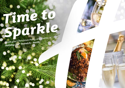# *Time to [Sparkle](https://norwich-north.hichristmas.co.uk) Book your Christmas Party and Events at*

*Holiday Inn® Norwich - North*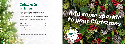Why not join us at the Holiday Inn Norwich - North to celebrate Christmas 2022 in style?

Whether you're looking to organise a spectacular Christmas party for colleagues, a festive night out for friends or a celebratory feast with loved ones, we've got the perfect package for you.

### *Celebrate with us*



2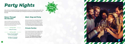# *[Party Nights](https://norwich-north.hichristmas.co.uk)*

Join us for an amazing Christmas party atmosphere at one of our festive party nights. Our function rooms can accommodate up to 400 guests and feature private dancefloor and bar area.

#### *Dance Through the Decades*

A glass of chilled fizz will be waiting for you upon arrival at our festive party night. Enjoy a three course meal and then dance the night away with our DJ who will take you through the decades with all the party classics!

**£36.95 per adult**



**Fridays: 18th & 25th November 2nd, 9th & 16th December**

**Saturdays: 19th November 3rd, 10th & 17th December**

#### *Meet, Stay and Party*

Work, rest and play! Join us throughout November, December or January with your colleagues for a full-day meeting, your choice of celebration in the evening, overnight accommodation and breakfast the following day. Plan your end-of-year meeting today! Please enquire for availability and pricing.

#### *Private Parties*

From intimate family gatherings to large corporate parties, we have functions rooms available to hire based on your requirements. Please contact us so we can help you plan your perfect celebration. Minimum numbers apply. Prices available upon request. Pre-booking only and subject to availability. Dates sell fast so enquire today!

**£32.95 per adult**

#### **Friday 20th January**

4

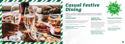## *[Casual Festive](https://norwich-north.hichristmas.co.uk) Dining*

Whether you're looking to organise a spectacular Christmas dinner for colleagues, a festive lunch for friends or a celebratory feast with loved ones, we've got the perfect event for you.

#### *Festive Lunch*

Our festive lunches are perfect for any occasion, whether you want to spend time with family, friends or work colleagues. Includes a glass of fizz upon arrival and a three-course festive meal.

**Available seven days a week. (subject to availability). Pre-booking essential. Call 03333 209 344 opt 4 to book.**

#### *Pizza and Prosecco*

Pizza and Prosecco = Perfect! Book today so you can enjoy a pizza and a glass of Prosecco each in the relaxed atmosphere of our Open Lobby.

#### **£14.95 per person**

#### *Festive Fizz Afternoon Tea*

Enjoy a festive afternoon tea, including tea & coffee and a refreshing glass of fizz! The perfect treat for anyone to enjoy. It also includes a selection of sandwiches, scones with cream & jam and a mouthwatering slice of seasonal cake.

#### **£18.00 per person**



**From £17.95 per person**

**Available every Tuesday and Thursday throughout December at 12pm, 12:30pm and 1pm. Pre-booking essential, available to book online.** 



**Fridays and Sundays throughout December at 5pm, 6pm and 6:30pm. Available to book online.**

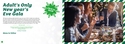### *[Adult's Only](https://norwich-north.hichristmas.co.uk) New year's Eve Gala*

We have an amazing night planned so you can see in 2023 in style! Let us welcome you with a festive cocktail upon arrival before making your way to the function room, where you will be served an amazing four-course meal with tea and coffee to finish. The night truly begins with a disco until 2am so you can dance the night away. Enjoy a midnight munchie and a glass of Prosecco once the clock strikes 12. 18+ only.

**£69.95 per adult**

*Menu to follow*

*Click to book*

**New Year's Eve will be in The Lancaster Suite and will start at 7:30pm, dinner served at 8:00pm, last orders at 1:30am. Carriages at 2:00am.**

**Saturday 31st December** 

8

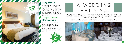### *Stay With Us*

Why not make a night of it and enjoy our special Christmas rates? Room types include standard double, family and twin. Take advantage of up to 20% off our best flexible, bed and breakfast rate. No deposit required and can be cancelled free of charge up to 48 hours prior to arrival.

### *Gift Vouchers*  $-$  Up to 20% off  $-$

We are excited to share with you the amazing gift vouchers we now have available at Holiday Inn Norwich - North. From delightful afternoon teas to overnight break packages, there's a gift for everyone. Give the gift of travel this year!



Christmas is such a wonderful time of year, why not consider having a festive wedding celebration? Our weddings are [available all year round and our fantastic wedding team will work with you to ensure you get everything you desire to](http://www.hinorwich.com/weddings)  make your special day a dream come true.



#### Contact us to start creating a wedding that's you, or click to find out more about our weddings



# A WEDDING THAT'S YOU